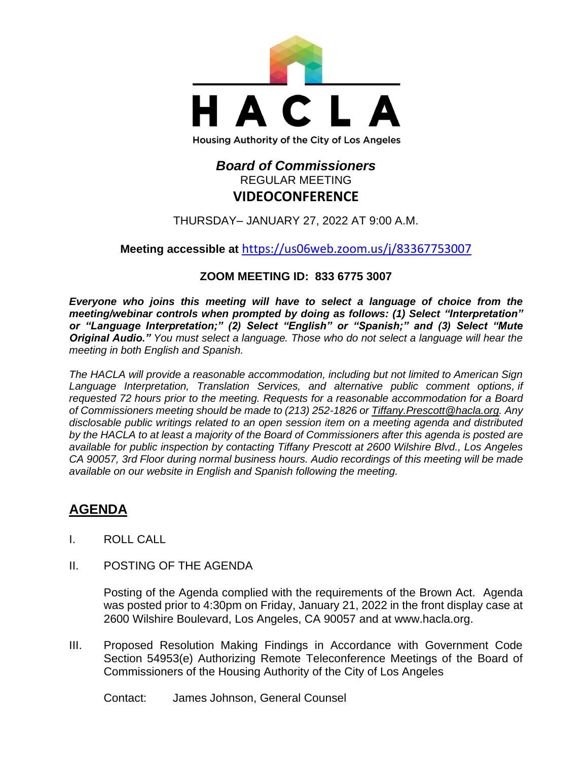

# *Board of Commissioners* REGULAR MEETING **VIDEOCONFERENCE**

THURSDAY– JANUARY 27, 2022 AT 9:00 A.M.

**Meeting accessible at** <https://us06web.zoom.us/j/83367753007>

# **ZOOM MEETING ID: 833 6775 3007**

*Everyone who joins this meeting will have to select a language of choice from the meeting/webinar controls when prompted by doing as follows: (1) Select "Interpretation" or "Language Interpretation;" (2) Select "English" or "Spanish;" and (3) Select "Mute Original Audio." You must select a language. Those who do not select a language will hear the meeting in both English and Spanish.*

*The HACLA will provide a reasonable accommodation, including but not limited to American Sign Language Interpretation, Translation Services, and alternative public comment options, if requested 72 hours prior to the meeting. Requests for a reasonable accommodation for a Board of Commissioners meeting should be made to (213) 252-1826 or Tiffany.Prescott@hacla.org. Any disclosable public writings related to an open session item on a meeting agenda and distributed by the HACLA to at least a majority of the Board of Commissioners after this agenda is posted are available for public inspection by contacting Tiffany Prescott at 2600 Wilshire Blvd., Los Angeles CA 90057, 3rd Floor during normal business hours. Audio recordings of this meeting will be made available on our website in English and Spanish following the meeting.*

# **AGENDA**

- I. ROLL CALL
- II. POSTING OF THE AGENDA

Posting of the Agenda complied with the requirements of the Brown Act. Agenda was posted prior to 4:30pm on Friday, January 21, 2022 in the front display case at 2600 Wilshire Boulevard, Los Angeles, CA 90057 and at [www.hacla.org.](http://www.hacla.org/)

III. Proposed Resolution Making Findings in Accordance with Government Code Section 54953(e) Authorizing Remote Teleconference Meetings of the Board of Commissioners of the Housing Authority of the City of Los Angeles

Contact: James Johnson, General Counsel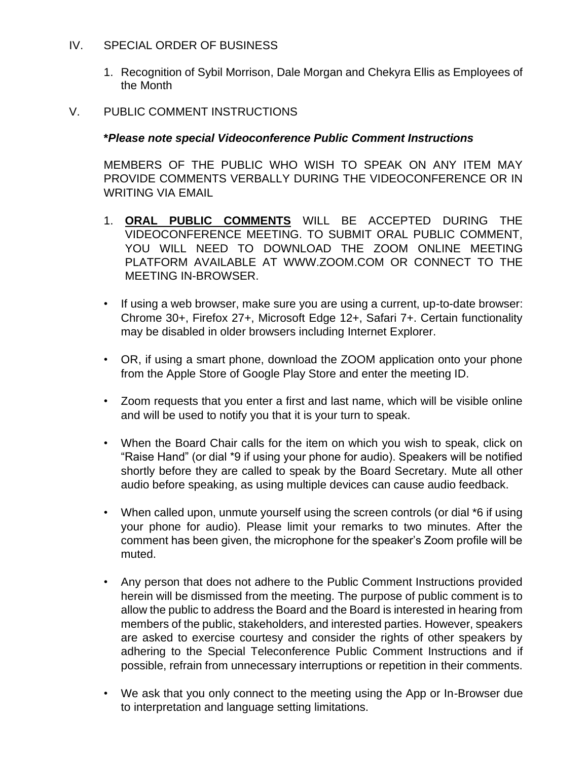#### IV. SPECIAL ORDER OF BUSINESS

1. Recognition of Sybil Morrison, Dale Morgan and Chekyra Ellis as Employees of the Month

#### V. PUBLIC COMMENT INSTRUCTIONS

#### **\****Please note special Videoconference Public Comment Instructions*

MEMBERS OF THE PUBLIC WHO WISH TO SPEAK ON ANY ITEM MAY PROVIDE COMMENTS VERBALLY DURING THE VIDEOCONFERENCE OR IN WRITING VIA EMAIL

- 1. **ORAL PUBLIC COMMENTS** WILL BE ACCEPTED DURING THE VIDEOCONFERENCE MEETING. TO SUBMIT ORAL PUBLIC COMMENT, YOU WILL NEED TO DOWNLOAD THE ZOOM ONLINE MEETING PLATFORM AVAILABLE AT WWW.ZOOM.COM OR CONNECT TO THE MEETING IN-BROWSER.
- If using a web browser, make sure you are using a current, up-to-date browser: Chrome 30+, Firefox 27+, Microsoft Edge 12+, Safari 7+. Certain functionality may be disabled in older browsers including Internet Explorer.
- OR, if using a smart phone, download the ZOOM application onto your phone from the Apple Store of Google Play Store and enter the meeting ID.
- Zoom requests that you enter a first and last name, which will be visible online and will be used to notify you that it is your turn to speak.
- When the Board Chair calls for the item on which you wish to speak, click on "Raise Hand" (or dial \*9 if using your phone for audio). Speakers will be notified shortly before they are called to speak by the Board Secretary. Mute all other audio before speaking, as using multiple devices can cause audio feedback.
- When called upon, unmute yourself using the screen controls (or dial \*6 if using your phone for audio). Please limit your remarks to two minutes. After the comment has been given, the microphone for the speaker's Zoom profile will be muted.
- Any person that does not adhere to the Public Comment Instructions provided herein will be dismissed from the meeting. The purpose of public comment is to allow the public to address the Board and the Board is interested in hearing from members of the public, stakeholders, and interested parties. However, speakers are asked to exercise courtesy and consider the rights of other speakers by adhering to the Special Teleconference Public Comment Instructions and if possible, refrain from unnecessary interruptions or repetition in their comments.
- We ask that you only connect to the meeting using the App or In-Browser due to interpretation and language setting limitations.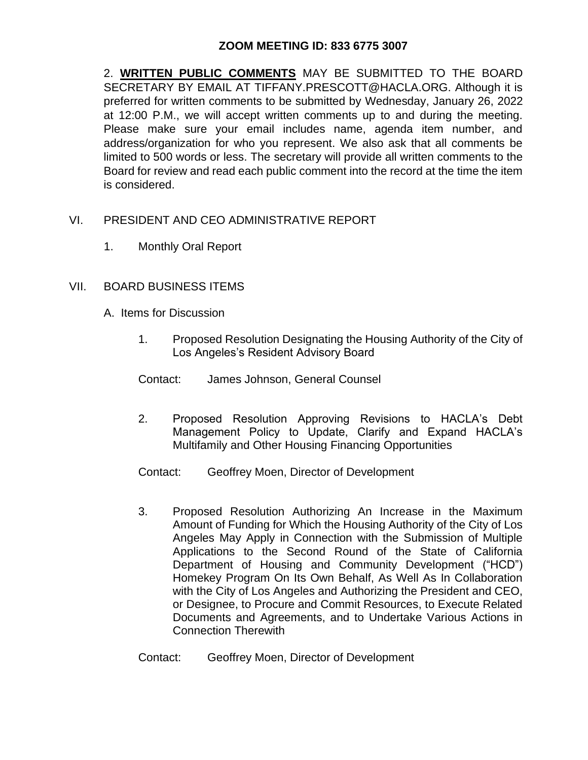## **ZOOM MEETING ID: 833 6775 3007**

2. **WRITTEN PUBLIC COMMENTS** MAY BE SUBMITTED TO THE BOARD SECRETARY BY EMAIL AT TIFFANY.PRESCOTT@HACLA.ORG. Although it is preferred for written comments to be submitted by Wednesday, January 26, 2022 at 12:00 P.M., we will accept written comments up to and during the meeting. Please make sure your email includes name, agenda item number, and address/organization for who you represent. We also ask that all comments be limited to 500 words or less. The secretary will provide all written comments to the Board for review and read each public comment into the record at the time the item is considered.

- VI. PRESIDENT AND CEO ADMINISTRATIVE REPORT
	- 1. Monthly Oral Report

#### VII. BOARD BUSINESS ITEMS

- A. Items for Discussion
	- 1. Proposed Resolution Designating the Housing Authority of the City of Los Angeles's Resident Advisory Board
	- Contact: James Johnson, General Counsel
	- 2. Proposed Resolution Approving Revisions to HACLA's Debt Management Policy to Update, Clarify and Expand HACLA's Multifamily and Other Housing Financing Opportunities
	- Contact: Geoffrey Moen, Director of Development
	- 3. Proposed Resolution Authorizing An Increase in the Maximum Amount of Funding for Which the Housing Authority of the City of Los Angeles May Apply in Connection with the Submission of Multiple Applications to the Second Round of the State of California Department of Housing and Community Development ("HCD") Homekey Program On Its Own Behalf, As Well As In Collaboration with the City of Los Angeles and Authorizing the President and CEO, or Designee, to Procure and Commit Resources, to Execute Related Documents and Agreements, and to Undertake Various Actions in Connection Therewith
	- Contact: Geoffrey Moen, Director of Development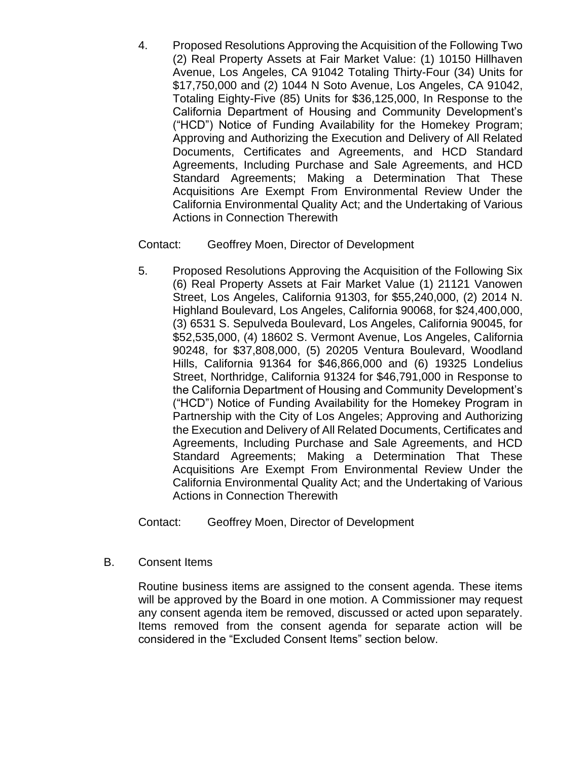4. Proposed Resolutions Approving the Acquisition of the Following Two (2) Real Property Assets at Fair Market Value: (1) 10150 Hillhaven Avenue, Los Angeles, CA 91042 Totaling Thirty-Four (34) Units for \$17,750,000 and (2) 1044 N Soto Avenue, Los Angeles, CA 91042, Totaling Eighty-Five (85) Units for \$36,125,000, In Response to the California Department of Housing and Community Development's ("HCD") Notice of Funding Availability for the Homekey Program; Approving and Authorizing the Execution and Delivery of All Related Documents, Certificates and Agreements, and HCD Standard Agreements, Including Purchase and Sale Agreements, and HCD Standard Agreements; Making a Determination That These Acquisitions Are Exempt From Environmental Review Under the California Environmental Quality Act; and the Undertaking of Various Actions in Connection Therewith

#### Contact: Geoffrey Moen, Director of Development

5. Proposed Resolutions Approving the Acquisition of the Following Six (6) Real Property Assets at Fair Market Value (1) 21121 Vanowen Street, Los Angeles, California 91303, for \$55,240,000, (2) 2014 N. Highland Boulevard, Los Angeles, California 90068, for \$24,400,000, (3) 6531 S. Sepulveda Boulevard, Los Angeles, California 90045, for \$52,535,000, (4) 18602 S. Vermont Avenue, Los Angeles, California 90248, for \$37,808,000, (5) 20205 Ventura Boulevard, Woodland Hills, California 91364 for \$46,866,000 and (6) 19325 Londelius Street, Northridge, California 91324 for \$46,791,000 in Response to the California Department of Housing and Community Development's ("HCD") Notice of Funding Availability for the Homekey Program in Partnership with the City of Los Angeles; Approving and Authorizing the Execution and Delivery of All Related Documents, Certificates and Agreements, Including Purchase and Sale Agreements, and HCD Standard Agreements; Making a Determination That These Acquisitions Are Exempt From Environmental Review Under the California Environmental Quality Act; and the Undertaking of Various Actions in Connection Therewith

Contact: Geoffrey Moen, Director of Development

B. Consent Items

Routine business items are assigned to the consent agenda. These items will be approved by the Board in one motion. A Commissioner may request any consent agenda item be removed, discussed or acted upon separately. Items removed from the consent agenda for separate action will be considered in the "Excluded Consent Items" section below.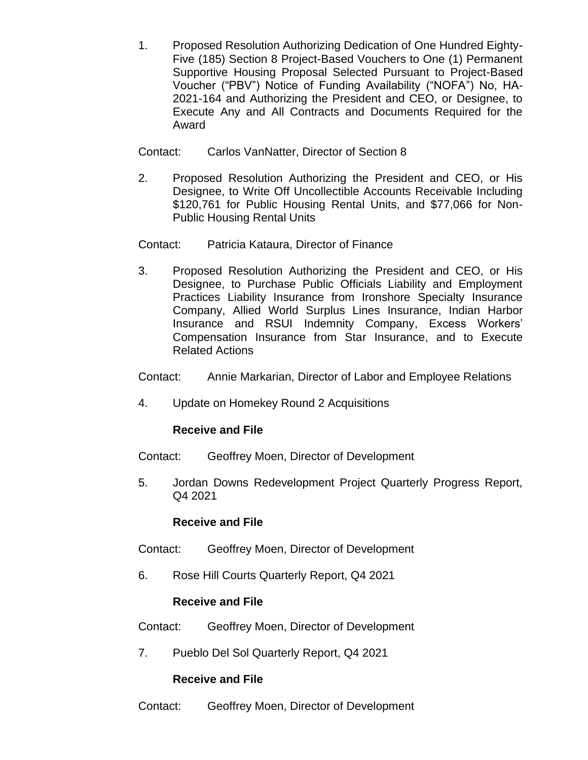- 1. Proposed Resolution Authorizing Dedication of One Hundred Eighty-Five (185) Section 8 Project-Based Vouchers to One (1) Permanent Supportive Housing Proposal Selected Pursuant to Project-Based Voucher ("PBV") Notice of Funding Availability ("NOFA") No, HA-2021-164 and Authorizing the President and CEO, or Designee, to Execute Any and All Contracts and Documents Required for the Award
- Contact: Carlos VanNatter, Director of Section 8
- 2. Proposed Resolution Authorizing the President and CEO, or His Designee, to Write Off Uncollectible Accounts Receivable Including \$120,761 for Public Housing Rental Units, and \$77,066 for Non-Public Housing Rental Units
- Contact: Patricia Kataura, Director of Finance
- 3. Proposed Resolution Authorizing the President and CEO, or His Designee, to Purchase Public Officials Liability and Employment Practices Liability Insurance from Ironshore Specialty Insurance Company, Allied World Surplus Lines Insurance, Indian Harbor Insurance and RSUI Indemnity Company, Excess Workers' Compensation Insurance from Star Insurance, and to Execute Related Actions
- Contact: Annie Markarian, Director of Labor and Employee Relations
- 4. Update on Homekey Round 2 Acquisitions

#### **Receive and File**

- Contact: Geoffrey Moen, Director of Development
- 5. Jordan Downs Redevelopment Project Quarterly Progress Report, Q4 2021

#### **Receive and File**

- Contact: Geoffrey Moen, Director of Development
- 6. Rose Hill Courts Quarterly Report, Q4 2021

# **Receive and File**

Contact: Geoffrey Moen, Director of Development

7. Pueblo Del Sol Quarterly Report, Q4 2021

# **Receive and File**

Contact: Geoffrey Moen, Director of Development